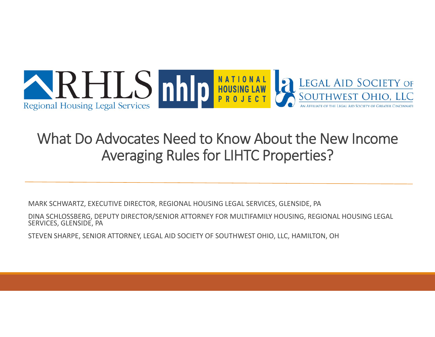

#### What Do Advocates Need to Know About the New Income Averaging Rules for LIHTC Properties?

MARK SCHWARTZ, EXECUTIVE DIRECTOR, REGIONAL HOUSING LEGAL SERVICES, GLENSIDE, PA

DINA SCHLOSSBERG, DEPUTY DIRECTOR/SENIOR ATTORNEY FOR MULTIFAMILY HOUSING, REGIONAL HOUSING LEGAL SERVICES, GLENSIDE, PA

STEVEN SHARPE, SENIOR ATTORNEY, LEGAL AID SOCIETY OF SOUTHWEST OHIO, LLC, HAMILTON, OH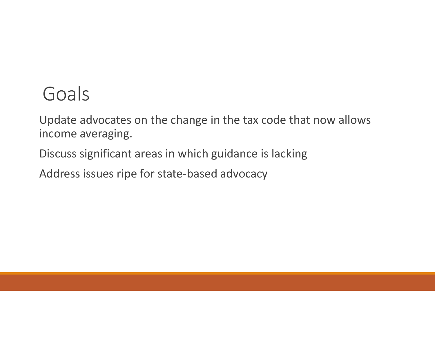#### Goals

Update advocates on the change in the tax code that now allows income averaging.

Discuss significant areas in which guidance is lacking

Address issues ripe for state‐based advocacy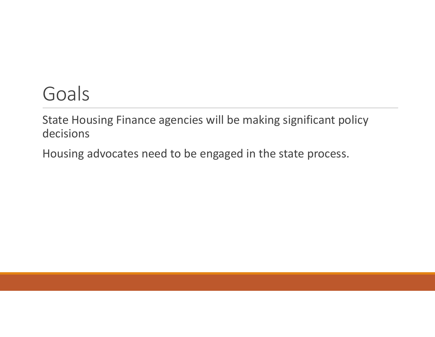#### Goals

State Housing Finance agencies will be making significant policy decisions

Housing advocates need to be engaged in the state process.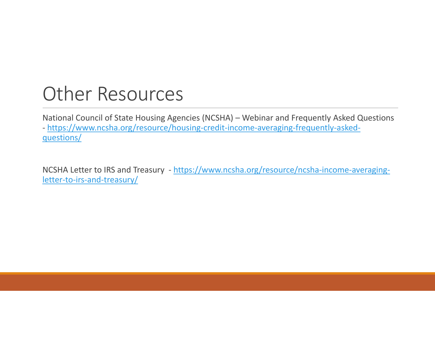#### Other Resources

National Council of State Housing Agencies (NCSHA) – Webinar and Frequently Asked Questions ‐ https://www.ncsha.org/resource/housing‐credit‐income‐averaging‐frequently‐asked‐ questions/

NCSHA Letter to IRS and Treasury - https://www.ncsha.org/resource/ncsha-income-averagingletter-to-irs-and-treasury/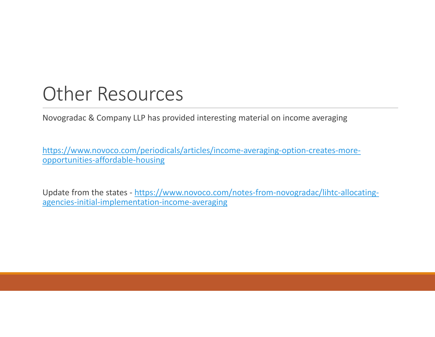#### Other Resources

Novogradac & Company LLP has provided interesting material on income averaging

https://www.novoco.com/periodicals/articles/income‐averaging‐option‐creates‐more‐ opportunities‐affordable‐housing

Update from the states - https://www.novoco.com/notes-from-novogradac/lihtc-allocatingagencies‐initial‐implementation‐income‐averaging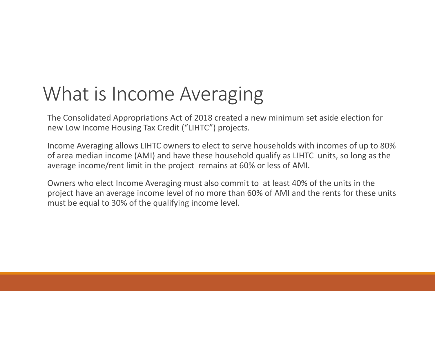#### What is Income Averaging

The Consolidated Appropriations Act of 2018 created a new minimum set aside election for new Low Income Housing Tax Credit ("LIHTC") projects.

Income Averaging allows LIHTC owners to elect to serve households with incomes of up to 80% of area median income (AMI) and have these household qualify as LIHTC units, so long as the average income/rent limit in the project remains at 60% or less of AMI.

Owners who elect Income Averaging must also commit to at least 40% of the units in the project have an average income level of no more than 60% of AMI and the rents for these units must be equal to 30% of the qualifying income level.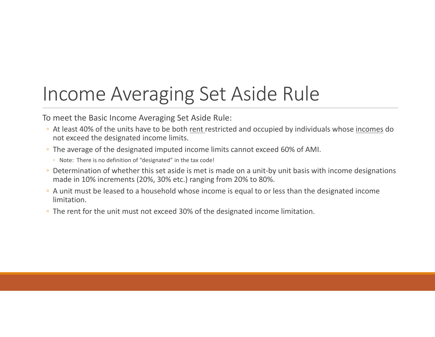### Income Averaging Set Aside Rule

To meet the Basic Income Averaging Set Aside Rule:

- ∘ At least 40% of the units have to be both rent restricted and occupied by individuals whose incomes do not exceed the designated income limits.
- The average of the designated imputed income limits cannot exceed 60% of AMI.
	- Note: There is no definition of "designated" in the tax code!
- Determination of whether this set aside is met is made on a unit‐by unit basis with income designations made in 10% increments (20%, 30% etc.) ranging from 20% to 80%.
- A unit must be leased to a household whose income is equal to or less than the designated income limitation.
- The rent for the unit must not exceed 30% of the designated income limitation.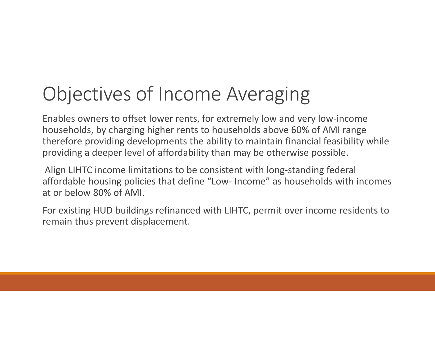# Objectives of Income Averaging

Enables owners to offset lower rents, for extremely low and very low‐income households, by charging higher rents to households above 60% of AMI range therefore providing developments the ability to maintain financial feasibility while providing a deeper level of affordability than may be otherwise possible.

Align LIHTC income limitations to be consistent with long‐standing federal affordable housing policies that define "Low‐ Income" as households with incomes at or below 80% of AMI.

For existing HUD buildings refinanced with LIHTC, permit over income residents to remain thus prevent displacement.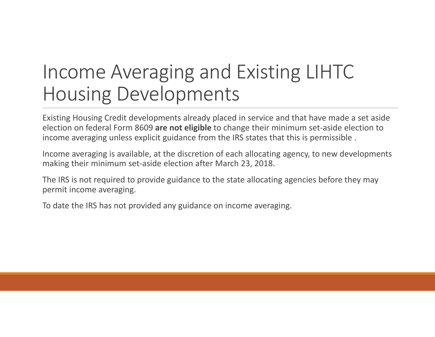#### Income Averaging and Existing LIHTC Housing Developments

Existing Housing Credit developments already placed in service and that have made a set aside election on federal Form 8609 **are not eligible** to change their minimum set‐aside election to income averaging unless explicit guidance from the IRS states that this is permissible .

Income averaging is available, at the discretion of each allocating agency, to new developments making their minimum set‐aside election after March 23, 2018.

The IRS is not required to provide guidance to the state allocating agencies before they may permit income averaging.

To date the IRS has not provided any guidance on income averaging.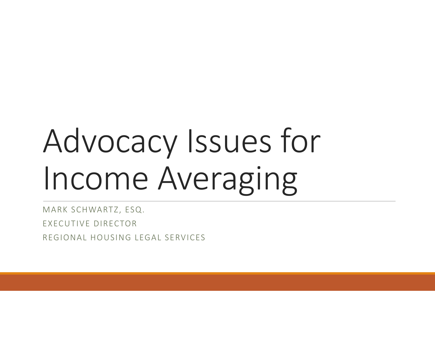# Advocacy Issues for Income Averaging

MARK SCHWARTZ, ESQ. EXECUTIVE DIRECTORREGIONAL HOUSING LEGAL SERVICES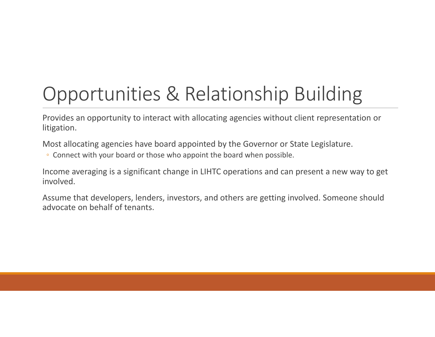# Opportunities & Relationship Building

Provides an opportunity to interact with allocating agencies without client representation or litigation.

Most allocating agencies have board appointed by the Governor or State Legislature.

◦ Connect with your board or those who appoint the board when possible.

Income averaging is a significant change in LIHTC operations and can present a new way to get involved.

Assume that developers, lenders, investors, and others are getting involved. Someone should advocate on behalf of tenants.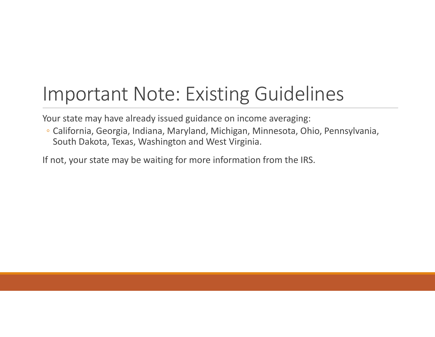#### Important Note: Existing Guidelines

Your state may have already issued guidance on income averaging:

◦ California, Georgia, Indiana, Maryland, Michigan, Minnesota, Ohio, Pennsylvania, South Dakota, Texas, Washington and West Virginia.

If not, your state may be waiting for more information from the IRS.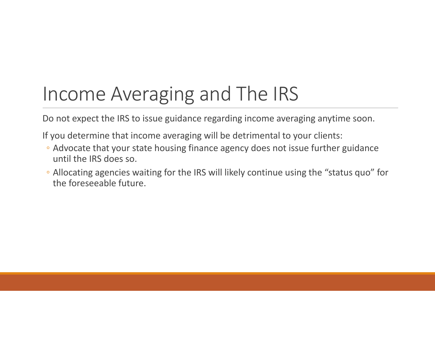# Income Averaging and The IRS

Do not expect the IRS to issue guidance regarding income averaging anytime soon.

If you determine that income averaging will be detrimental to your clients:

- Advocate that your state housing finance agency does not issue further guidance until the IRS does so.
- Allocating agencies waiting for the IRS will likely continue using the "status quo" for the foreseeable future.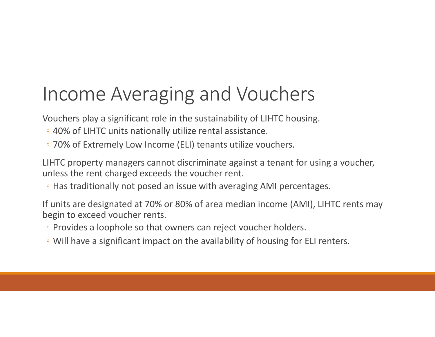#### Income Averaging and Vouchers

Vouchers play a significant role in the sustainability of LIHTC housing.

- 40% of LIHTC units nationally utilize rental assistance.
- 70% of Extremely Low Income (ELI) tenants utilize vouchers.

LIHTC property managers cannot discriminate against a tenant for using a voucher, unless the rent charged exceeds the voucher rent.

◦ Has traditionally not posed an issue with averaging AMI percentages.

If units are designated at 70% or 80% of area median income (AMI), LIHTC rents may begin to exceed voucher rents.

- Provides a loophole so that owners can reject voucher holders.
- Will have a significant impact on the availability of housing for ELI renters.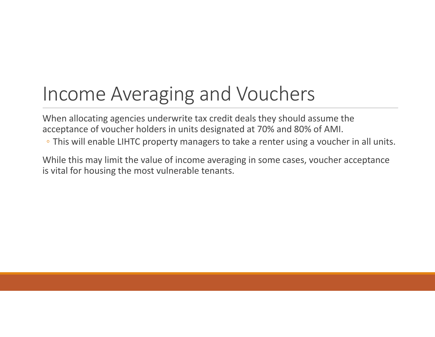### Income Averaging and Vouchers

When allocating agencies underwrite tax credit deals they should assume the acceptance of voucher holders in units designated at 70% and 80% of AMI.

◦ This will enable LIHTC property managers to take a renter using a voucher in all units.

While this may limit the value of income averaging in some cases, voucher acceptance is vital for housing the most vulnerable tenants.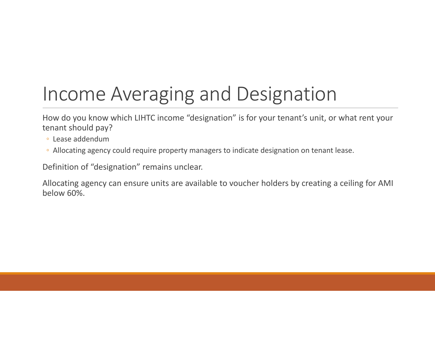# Income Averaging and Designation

How do you know which LIHTC income "designation" is for your tenant's unit, or what rent your tenant should pay?

- Lease addendum
- Allocating agency could require property managers to indicate designation on tenant lease.

Definition of "designation" remains unclear.

Allocating agency can ensure units are available to voucher holders by creating a ceiling for AMI below 60%.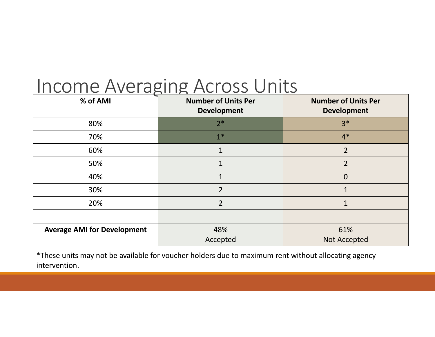#### Income Averaging Across Units

| % of AMI                           | <b>Number of Units Per</b><br><b>Development</b> | <b>Number of Units Per</b><br><b>Development</b> |
|------------------------------------|--------------------------------------------------|--------------------------------------------------|
| 80%                                | $2*$                                             | $3*$                                             |
| 70%                                | $1*$                                             | $4*$                                             |
| 60%                                | $\mathbf{1}$                                     | $\overline{2}$                                   |
| 50%                                | $\mathbf{1}$                                     | $\overline{2}$                                   |
| 40%                                | 1                                                | $\mathbf 0$                                      |
| 30%                                | $\overline{2}$                                   |                                                  |
| 20%                                | $\overline{2}$                                   |                                                  |
|                                    |                                                  |                                                  |
| <b>Average AMI for Development</b> | 48%                                              | 61%                                              |
|                                    | Accepted                                         | <b>Not Accepted</b>                              |

\*These units may not be available for voucher holders due to maximum rent without allocating agency intervention.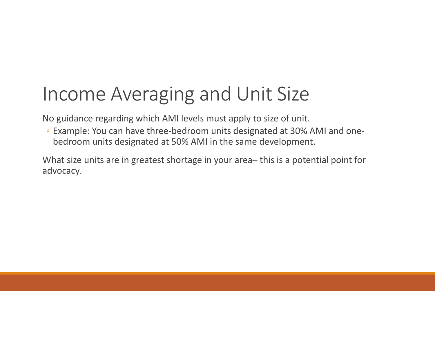#### Income Averaging and Unit Size

No guidance regarding which AMI levels must apply to size of unit.

◦ Example: You can have three‐bedroom units designated at 30% AMI and one‐ bedroom units designated at 50% AMI in the same development.

What size units are in greatest shortage in your area– this is a potential point for advocacy.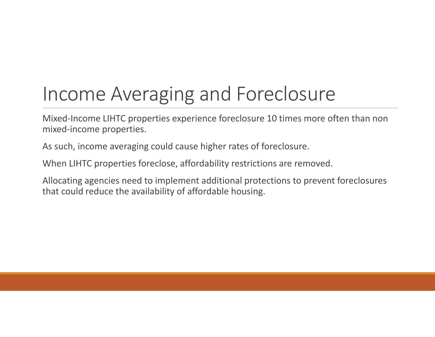# Income Averaging and Foreclosure

Mixed‐Income LIHTC properties experience foreclosure 10 times more often than non mixed‐income properties.

As such, income averaging could cause higher rates of foreclosure.

When LIHTC properties foreclose, affordability restrictions are removed.

Allocating agencies need to implement additional protections to prevent foreclosures that could reduce the availability of affordable housing.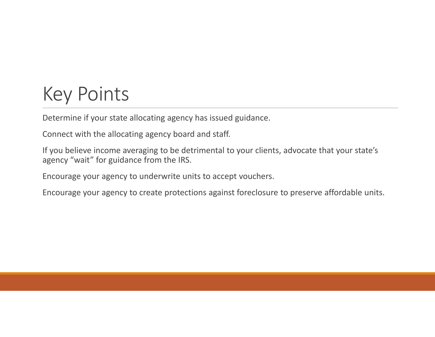### Key Points

Determine if your state allocating agency has issued guidance.

Connect with the allocating agency board and staff.

If you believe income averaging to be detrimental to your clients, advocate that your state's agency "wait" for guidance from the IRS.

Encourage your agency to underwrite units to accept vouchers.

Encourage your agency to create protections against foreclosure to preserve affordable units.